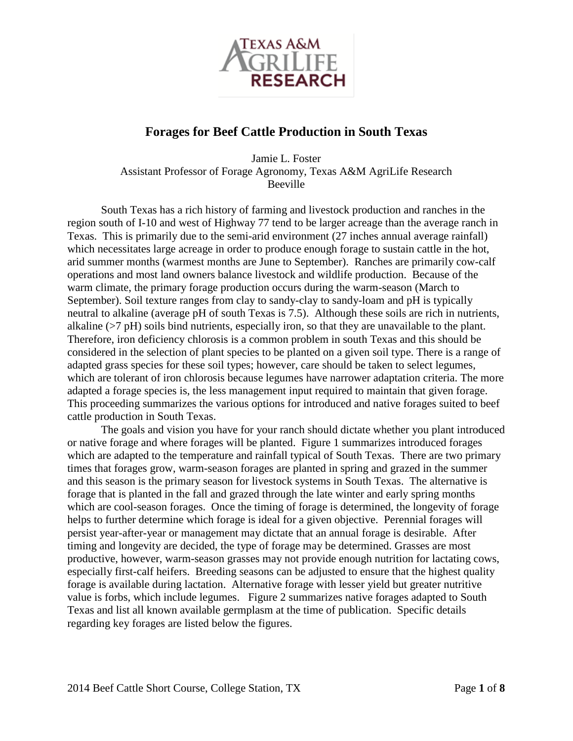

# **Forages for Beef Cattle Production in South Texas**

Jamie L. Foster Assistant Professor of Forage Agronomy, Texas A&M AgriLife Research Beeville

South Texas has a rich history of farming and livestock production and ranches in the region south of I-10 and west of Highway 77 tend to be larger acreage than the average ranch in Texas. This is primarily due to the semi-arid environment (27 inches annual average rainfall) which necessitates large acreage in order to produce enough forage to sustain cattle in the hot, arid summer months (warmest months are June to September). Ranches are primarily cow-calf operations and most land owners balance livestock and wildlife production. Because of the warm climate, the primary forage production occurs during the warm-season (March to September). Soil texture ranges from clay to sandy-clay to sandy-loam and pH is typically neutral to alkaline (average pH of south Texas is 7.5). Although these soils are rich in nutrients, alkaline (>7 pH) soils bind nutrients, especially iron, so that they are unavailable to the plant. Therefore, iron deficiency chlorosis is a common problem in south Texas and this should be considered in the selection of plant species to be planted on a given soil type. There is a range of adapted grass species for these soil types; however, care should be taken to select legumes, which are tolerant of iron chlorosis because legumes have narrower adaptation criteria. The more adapted a forage species is, the less management input required to maintain that given forage. This proceeding summarizes the various options for introduced and native forages suited to beef cattle production in South Texas.

The goals and vision you have for your ranch should dictate whether you plant introduced or native forage and where forages will be planted. Figure 1 summarizes introduced forages which are adapted to the temperature and rainfall typical of South Texas. There are two primary times that forages grow, warm-season forages are planted in spring and grazed in the summer and this season is the primary season for livestock systems in South Texas. The alternative is forage that is planted in the fall and grazed through the late winter and early spring months which are cool-season forages. Once the timing of forage is determined, the longevity of forage helps to further determine which forage is ideal for a given objective. Perennial forages will persist year-after-year or management may dictate that an annual forage is desirable. After timing and longevity are decided, the type of forage may be determined. Grasses are most productive, however, warm-season grasses may not provide enough nutrition for lactating cows, especially first-calf heifers. Breeding seasons can be adjusted to ensure that the highest quality forage is available during lactation. Alternative forage with lesser yield but greater nutritive value is forbs, which include legumes. Figure 2 summarizes native forages adapted to South Texas and list all known available germplasm at the time of publication. Specific details regarding key forages are listed below the figures.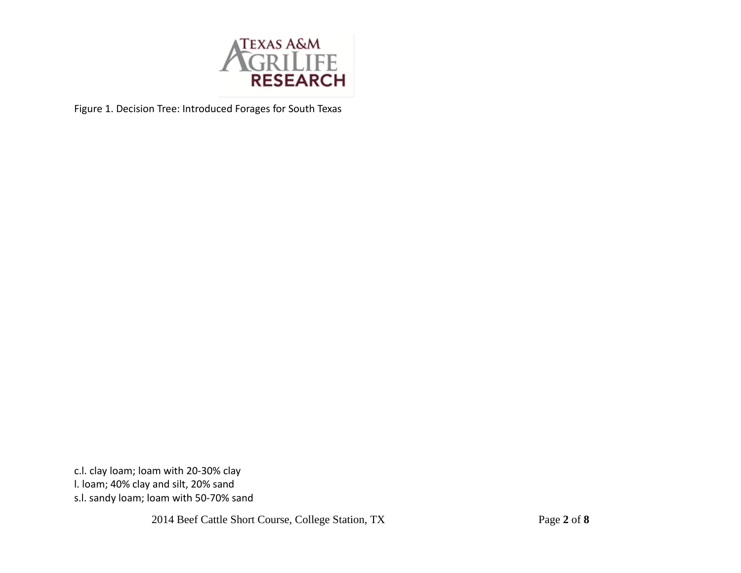

Figure 1. Decision Tree: Introduced Forages for South Texas

c.l. clay loam; loam with 20-30% clay l. loam; 40% clay and silt, 20% sand s.l. sandy loam; loam with 50-70% sand

2014 Beef Cattle Short Course, College Station, TX Page **2** of **8**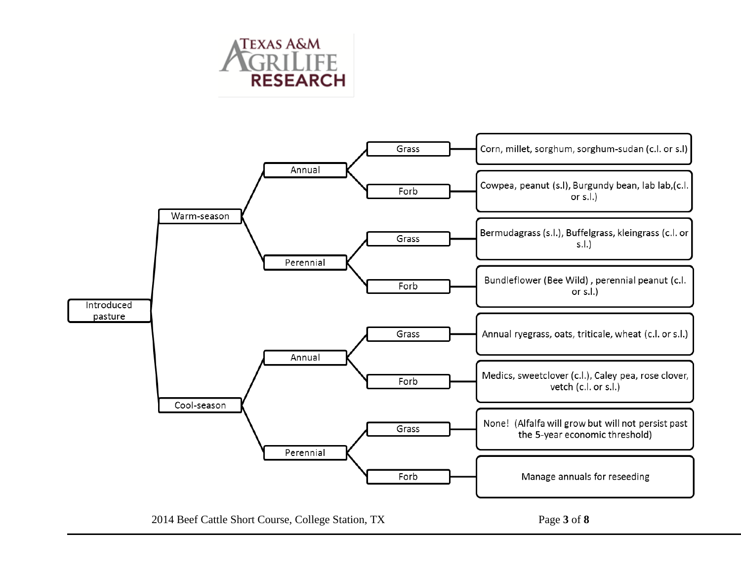

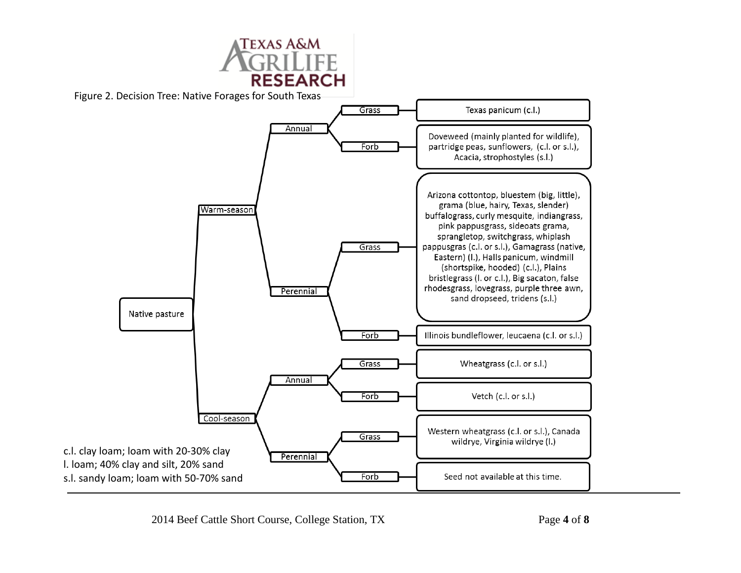

Figure 2. Decision Tree: Native Forages for South Texas

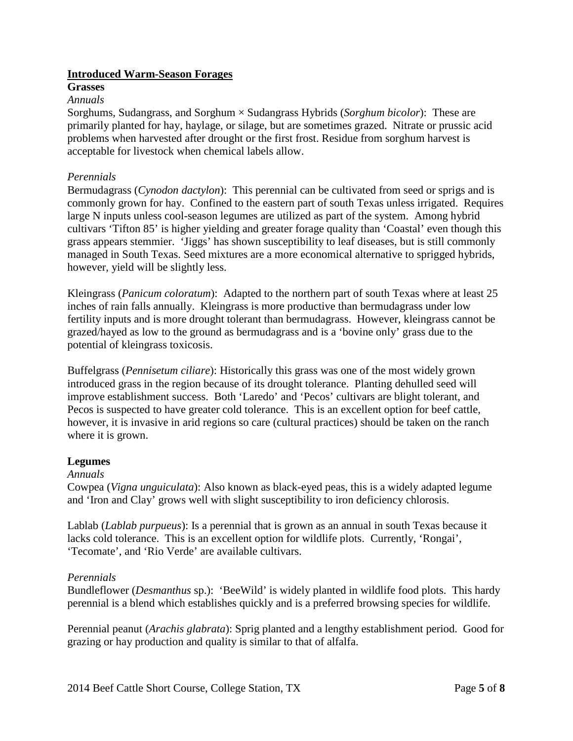# **Introduced Warm-Season Forages**

#### **Grasses**

#### *Annuals*

Sorghums, Sudangrass, and Sorghum × Sudangrass Hybrids (*Sorghum bicolor*): These are primarily planted for hay, haylage, or silage, but are sometimes grazed. Nitrate or prussic acid problems when harvested after drought or the first frost. Residue from sorghum harvest is acceptable for livestock when chemical labels allow.

#### *Perennials*

Bermudagrass (*Cynodon dactylon*): This perennial can be cultivated from seed or sprigs and is commonly grown for hay. Confined to the eastern part of south Texas unless irrigated. Requires large N inputs unless cool-season legumes are utilized as part of the system. Among hybrid cultivars 'Tifton 85' is higher yielding and greater forage quality than 'Coastal' even though this grass appears stemmier. 'Jiggs' has shown susceptibility to leaf diseases, but is still commonly managed in South Texas. Seed mixtures are a more economical alternative to sprigged hybrids, however, yield will be slightly less.

Kleingrass (*Panicum coloratum*): Adapted to the northern part of south Texas where at least 25 inches of rain falls annually. Kleingrass is more productive than bermudagrass under low fertility inputs and is more drought tolerant than bermudagrass. However, kleingrass cannot be grazed/hayed as low to the ground as bermudagrass and is a 'bovine only' grass due to the potential of kleingrass toxicosis.

Buffelgrass (*Pennisetum ciliare*): Historically this grass was one of the most widely grown introduced grass in the region because of its drought tolerance. Planting dehulled seed will improve establishment success. Both 'Laredo' and 'Pecos' cultivars are blight tolerant, and Pecos is suspected to have greater cold tolerance. This is an excellent option for beef cattle, however, it is invasive in arid regions so care (cultural practices) should be taken on the ranch where it is grown.

# **Legumes**

# *Annuals*

Cowpea (*Vigna unguiculata*): Also known as black-eyed peas, this is a widely adapted legume and 'Iron and Clay' grows well with slight susceptibility to iron deficiency chlorosis.

Lablab (*Lablab purpueus*): Is a perennial that is grown as an annual in south Texas because it lacks cold tolerance. This is an excellent option for wildlife plots. Currently, 'Rongai', 'Tecomate', and 'Rio Verde' are available cultivars.

# *Perennials*

Bundleflower (*Desmanthus* sp.): 'BeeWild' is widely planted in wildlife food plots. This hardy perennial is a blend which establishes quickly and is a preferred browsing species for wildlife.

Perennial peanut (*Arachis glabrata*): Sprig planted and a lengthy establishment period. Good for grazing or hay production and quality is similar to that of alfalfa.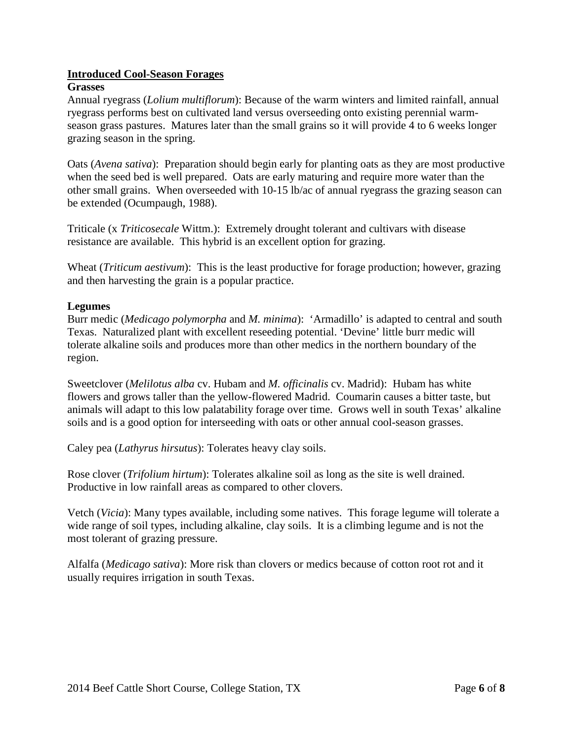# **Introduced Cool-Season Forages**

#### **Grasses**

Annual ryegrass (*Lolium multiflorum*): Because of the warm winters and limited rainfall, annual ryegrass performs best on cultivated land versus overseeding onto existing perennial warmseason grass pastures. Matures later than the small grains so it will provide 4 to 6 weeks longer grazing season in the spring.

Oats (*Avena sativa*): Preparation should begin early for planting oats as they are most productive when the seed bed is well prepared. Oats are early maturing and require more water than the other small grains. When overseeded with 10-15 lb/ac of annual ryegrass the grazing season can be extended (Ocumpaugh, 1988).

Triticale (x *Triticosecale* Wittm.): Extremely drought tolerant and cultivars with disease resistance are available. This hybrid is an excellent option for grazing.

Wheat (*Triticum aestivum*): This is the least productive for forage production; however, grazing and then harvesting the grain is a popular practice.

#### **Legumes**

Burr medic (*Medicago polymorpha* and *M. minima*): 'Armadillo' is adapted to central and south Texas. Naturalized plant with excellent reseeding potential. 'Devine' little burr medic will tolerate alkaline soils and produces more than other medics in the northern boundary of the region.

Sweetclover (*Melilotus alba* cv. Hubam and *M. officinalis* cv. Madrid): Hubam has white flowers and grows taller than the yellow-flowered Madrid. Coumarin causes a bitter taste, but animals will adapt to this low palatability forage over time. Grows well in south Texas' alkaline soils and is a good option for interseeding with oats or other annual cool-season grasses.

Caley pea (*Lathyrus hirsutus*): Tolerates heavy clay soils.

Rose clover (*Trifolium hirtum*): Tolerates alkaline soil as long as the site is well drained. Productive in low rainfall areas as compared to other clovers.

Vetch (*Vicia*): Many types available, including some natives. This forage legume will tolerate a wide range of soil types, including alkaline, clay soils. It is a climbing legume and is not the most tolerant of grazing pressure.

Alfalfa (*Medicago sativa*): More risk than clovers or medics because of cotton root rot and it usually requires irrigation in south Texas.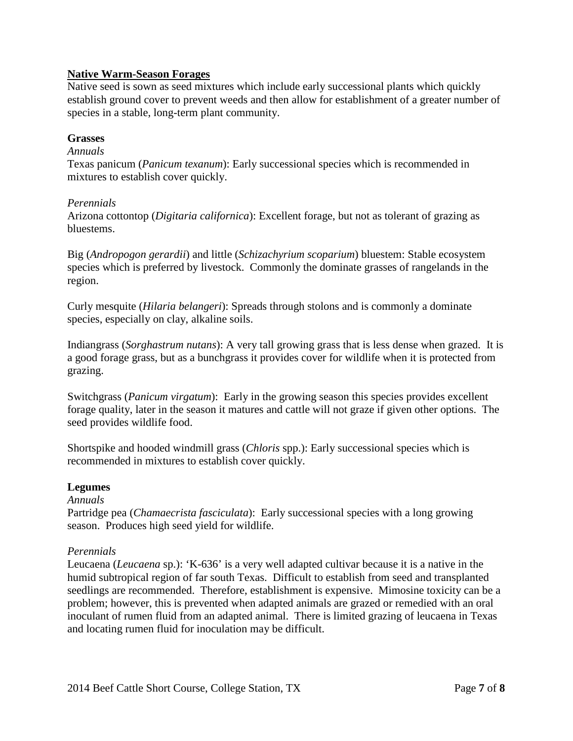# **Native Warm-Season Forages**

Native seed is sown as seed mixtures which include early successional plants which quickly establish ground cover to prevent weeds and then allow for establishment of a greater number of species in a stable, long-term plant community.

# **Grasses**

#### *Annuals*

Texas panicum (*Panicum texanum*): Early successional species which is recommended in mixtures to establish cover quickly.

#### *Perennials*

Arizona cottontop (*Digitaria californica*): Excellent forage, but not as tolerant of grazing as bluestems.

Big (*Andropogon gerardii*) and little (*Schizachyrium scoparium*) bluestem: Stable ecosystem species which is preferred by livestock. Commonly the dominate grasses of rangelands in the region.

Curly mesquite (*Hilaria belangeri*): Spreads through stolons and is commonly a dominate species, especially on clay, alkaline soils.

Indiangrass (*Sorghastrum nutans*): A very tall growing grass that is less dense when grazed. It is a good forage grass, but as a bunchgrass it provides cover for wildlife when it is protected from grazing.

Switchgrass (*Panicum virgatum*): Early in the growing season this species provides excellent forage quality, later in the season it matures and cattle will not graze if given other options. The seed provides wildlife food.

Shortspike and hooded windmill grass (*Chloris* spp.): Early successional species which is recommended in mixtures to establish cover quickly.

# **Legumes**

#### *Annuals*

Partridge pea (*Chamaecrista fasciculata*): Early successional species with a long growing season. Produces high seed yield for wildlife.

# *Perennials*

Leucaena (*Leucaena* sp.): 'K-636' is a very well adapted cultivar because it is a native in the humid subtropical region of far south Texas. Difficult to establish from seed and transplanted seedlings are recommended. Therefore, establishment is expensive. Mimosine toxicity can be a problem; however, this is prevented when adapted animals are grazed or remedied with an oral inoculant of rumen fluid from an adapted animal. There is limited grazing of leucaena in Texas and locating rumen fluid for inoculation may be difficult.